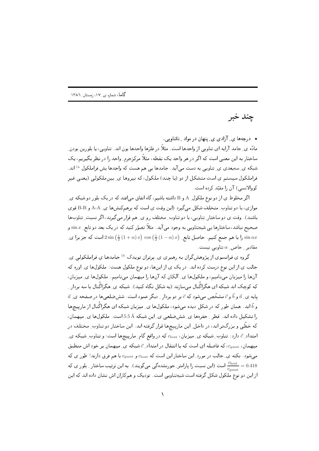چند خبر

• درجهها ی ِ آزادی ی ِ پنهان در مواد ِ ناتناوبی.

مادّه ي ِ جامد آرايه اي تناوبي از واحدها است. مثلاً در فلزها واحدها يون اند. تناوبي، يا بلورين بودن ِ ساختار به این معنی است که اگر در هر واحد یک نقطه، مثلاً مرکزجرم ِ واحد را در نظر بگیریم، یک شبکه ي ِ سه بعدي ي ِ تناوبي به دست مي آيد. جامدها يي هم هست که واحدها پش فراملکول <sup>a)</sup> اند. فراملکول سیستم ی است متشکل از دو (یا چند) ملکول، که نیروها ی ِ بینملکولی (یعنی غیر کو والانسی) آن ,ا مقیّد کرده است.

اگر مخلوط ی از دو نوع ملکول ِ A و B داشته باشیم، گاه اتفاق میافتد که در یک بلور دو شبکه ی ِ موازي، با دو تناوب ِ متخلف شکل مي گيرد (اين وقت ي است که برهمکنشها ي ِ A-A و B-B قوي باشند). وقت ی دو ساختار ِ تناوبی، با دو تناوب ِ مختلف رو ی ِ هم قرار میگیرند، اگر نسبت ِ تناوبها صحیح نباشد، ساختارها یبی شبهِتناوببی به وجود می آید. مثلاً تصوّر کنید که در یک بعد دو تابع ِ  $\sin x$  و ِ را با هم جمع كنيم. حاصل تابع  $\left(\frac{1}{2}(1-\alpha)x\right)\cos\left(\frac{1}{2}(1-\alpha)x\right)$ است كه جز برا ي sin  $\alpha x$ مقادیر \_ خاص ِ  $\alpha$  تناوبی نیست.

گروه ی فرانسوی از پژوهشگران به رهبری ی ِ بِرتران تویدک <sup>b)</sup> جامدها ی فراملکولی ی ِ جالب ی از این نوع درست کرده اند. در یک ی از اینها، دو نوع ملکول هست: ملکولها ی ِ اوره که آنها را میزبان می نامیم، و ملکولها ی ِ آلکان که آنها را میهمان می نامیم. ملکولها ی ِ میزبان، که کوچک اند شبکه ای هگزاگُنال میسازند (به شکل نگاه کنید). شبکه ی ِ هگزاگُنال با سه بردار ِ  $\vec{a}$ یایه ی ِ  $\vec{a}$  و  $\vec{b}$  مشخّص می شود که  $\vec{c}$  بر دو بردار ِ دیگر عمود است. شش ضلعی ها در صفحه ی ِ و  $\vec{b}$  اند. همان طور که در شکل دیده میشود، ملکولها ی ِ میزبان شبکه ای هگزاگُنال از مارییچها را تشکیل داده اند. قطر \_ حفرهها ی ِ شش ضلعی ی ِ این شبکه 5.5 Å است. ملکولها ی ِ میهمان، که خطّی و بزرگتر اند، در داخل ِ این مارپیچها قرار گرفته اند. این ساختار دو تناوب ِ مختلف در امتداد ِ ج دارد: تناوب ِ شبکه ی ِ میزبان،  $c_{\rm host}$  که در واقع گام ِ مارییچها است؛ و تناوب ِ شبکه ی ِ میهمان،  $c_{\text{guest}}$ ، که فاصله ای است که با انتقال در امتداد ِ ت شبکه ی ِ میهمان بر خود اش منطبق میشود. نکته ی ِ جالب در مورد ِ این ساختار این است که  $c_{\rm host}$  و  $c_{\rm ghost}$  با هم فرق دارند! طور ی که است (این نسبت را پارامتر ِ جورنشدهگی میگویند). به این ترتیب ساختار ِ بلور ی که  $\frac{c_{\rm host}}{c_{\rm guest}}=0.418$ از این دو نوع ملکول شکل گرفته است شبهِتناوبی است. تودیک و همکاران اش نشان داده اند که این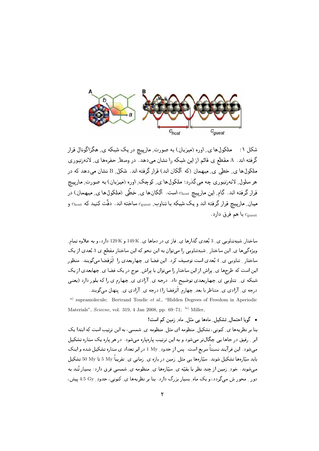

شکل ۱: ملکول۱های ِ اوره (میزبان) به صورت ِ مارپیچ در یک شبکه ی ِ هگزاگونال قرار گرفته اند. A مقطع ی قائم از این شبکه را نشان می دهد. در وسط ِ حفروها ی ِ لانهزنبوری ملکول ها ی ِ خطی ی ِ میهمان (که آلکان اند) قرار گرفته اند. شکل ِ B نشان می دهد که در هر سلول ِ لانەزنبورى چە مىيگذرد: ملكول ها ي ِ كوچك ِ اوره (ميزبان) بە صورت ِ مارييچ قرار گرفته اند. گام ِ این مارپیچ  $c_{\rm host}$  است. آلکانها ی ِ خطّی (ملکولها ی ِ میهمان) در میان ِ مارپیچ قرار گرفته اند و یک شبکه با تناوب ِ  $c_{\rm guest}$  ساخته اند. دقّت کنید که  $c_{\rm host}$  و با هم فرق دارد.  $c_{\rm guest}$ 

ساختار ِ شبهِتناوبی ی ِ 3 بُعدی گذارها ی ِ فاز ی در دماها ی ِ 149K و 129K دارد، و به علاوه تمام ِ ویژه گی ها ی ِ این ساختار ِ شبهِتناوبی را می توان به این نحو که این ساختار مقطع ی 3 بُعدی از یک ساختار ِ تناوبی ی ِ 4 بُعدی است توصیف کرد. این فضا ی ِ چهاربعدی را آبَرفضا میگویند. منظور این است که طرحها ی ِ پراش از این ساختار را میتوان با پراش ِ موج در یک فضا ی ِ چهابعدی از یک شبکه ي ِ تناوبي ي ِ چهاربعدي توضيح داد. درجه ي ِ آزادي ي ِ چهارم ي را که بلور دارد (يعني درجه ی ِ آزادی ی ِ متناظر با بعد ِ چهارم ِ اَبَرفضا را) درجه ی ِ آزادی ی ِ پنهان می گویند.

<sup>a)</sup> supramolecule; Bertrand Toudic *et al.*, "Hidden Degrees of Freedom in Aperiodic Materials", Sciecne, vol. 319, 4 Jan 2008, pp. 69-71; b) Miller,

• گویا احتمال ِ تشکیل ِ ماهها یی مثل ِ ماه ِ زمین کم است! بنا بر نظریهها ی ِ کنونی، تشکیل ِ منظومه ای مثل ِ منظومه ی ِ شمسی، به این ترتیب است که ابتدا یک ابر په رقیق در جاها یی چگال تر می شود و به این ترتیب پارهپاره می شود. در هر پاره یک ستاره تشکیل میشود. این فرآیند نسبتاً سریع است. پس از حدود ِ I My در ابر تعداد ی ستاره تشکیل شده و اینک باید سپّارهها تشکیل شوند. سپّارهها یبی مثل ِ زمین در بازه ی ِ زمانی ی ِ تقریباً My 5 تا 50 My تشکیل میشوند. خود ِ زمین از چند نظر با بقیّه ی ِ سیّارهها ی ِ منظومه ی ِ شمسی فرق دارد: بسیار تُند به دور ِ محور ش می گردد، و یک ماه ِ بِسیار بزرگ دارد. بنا بر نظریهها ی ِ کنونی، حدود ِ 4.5 Gy پیش،